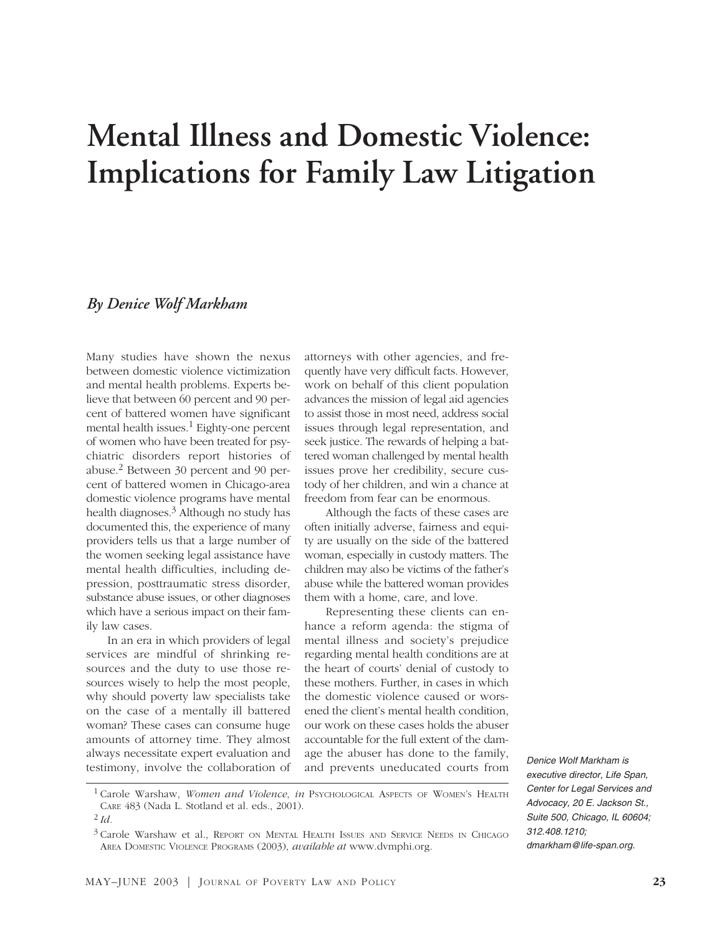# **Mental Illness and Domestic Violence: Implications for Family Law Litigation**

# *By Denice Wolf Markham*

Many studies have shown the nexus between domestic violence victimization and mental health problems. Experts believe that between 60 percent and 90 percent of battered women have significant mental health issues.<sup>1</sup> Eighty-one percent of women who have been treated for psychiatric disorders report histories of abuse.2 Between 30 percent and 90 percent of battered women in Chicago-area domestic violence programs have mental health diagnoses. $3$  Although no study has documented this, the experience of many providers tells us that a large number of the women seeking legal assistance have mental health difficulties, including depression, posttraumatic stress disorder, substance abuse issues, or other diagnoses which have a serious impact on their family law cases.

In an era in which providers of legal services are mindful of shrinking resources and the duty to use those resources wisely to help the most people, why should poverty law specialists take on the case of a mentally ill battered woman? These cases can consume huge amounts of attorney time. They almost always necessitate expert evaluation and testimony, involve the collaboration of attorneys with other agencies, and frequently have very difficult facts. However, work on behalf of this client population advances the mission of legal aid agencies to assist those in most need, address social issues through legal representation, and seek justice. The rewards of helping a battered woman challenged by mental health issues prove her credibility, secure custody of her children, and win a chance at freedom from fear can be enormous.

Although the facts of these cases are often initially adverse, fairness and equity are usually on the side of the battered woman, especially in custody matters. The children may also be victims of the father's abuse while the battered woman provides them with a home, care, and love.

Representing these clients can enhance a reform agenda: the stigma of mental illness and society's prejudice regarding mental health conditions are at the heart of courts' denial of custody to these mothers. Further, in cases in which the domestic violence caused or worsened the client's mental health condition, our work on these cases holds the abuser accountable for the full extent of the damage the abuser has done to the family, and prevents uneducated courts from

*Denice Wolf Markham is executive director, Life Span, Center for Legal Services and Advocacy, 20 E. Jackson St., Suite 500, Chicago, IL 60604; 312.408.1210; dmarkham@life-span.org.*

<sup>1</sup> Carole Warshaw, *Women and Violence*, *in* PSYCHOLOGICAL ASPECTS OF WOMEN'S HEALTH CARE 483 (Nada L. Stotland et al. eds., 2001).

<sup>2</sup> *Id.*

<sup>3</sup> Carole Warshaw et al., REPORT ON MENTAL HEALTH ISSUES AND SERVICE NEEDS IN CHICAGO AREA DOMESTIC VIOLENCE PROGRAMS (2003), *available at* www.dvmphi.org.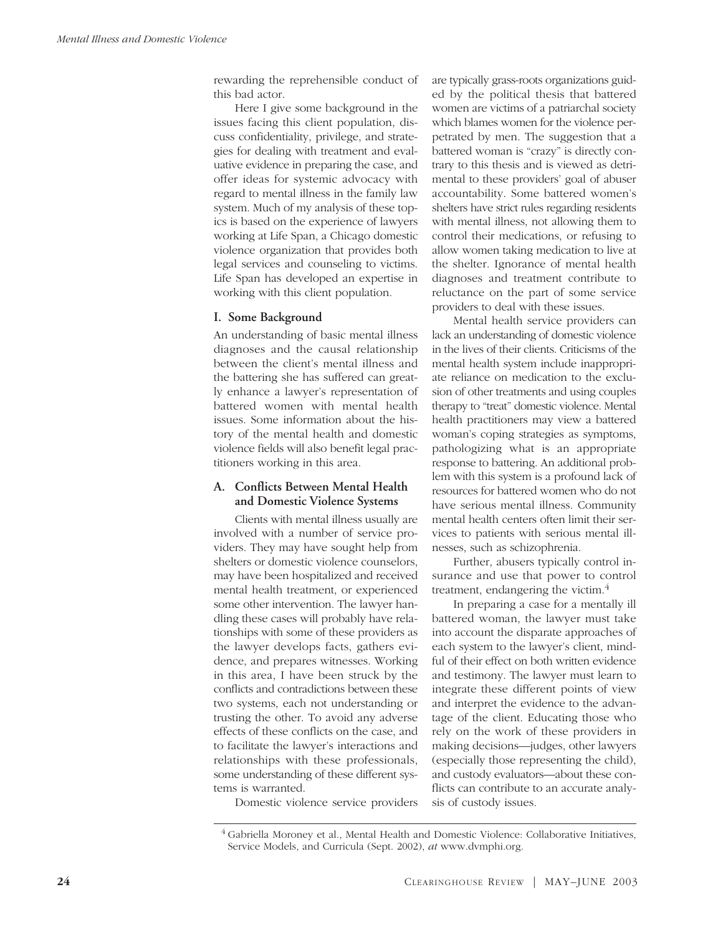rewarding the reprehensible conduct of this bad actor.

Here I give some background in the issues facing this client population, discuss confidentiality, privilege, and strategies for dealing with treatment and evaluative evidence in preparing the case, and offer ideas for systemic advocacy with regard to mental illness in the family law system. Much of my analysis of these topics is based on the experience of lawyers working at Life Span, a Chicago domestic violence organization that provides both legal services and counseling to victims. Life Span has developed an expertise in working with this client population.

#### **I. Some Background**

An understanding of basic mental illness diagnoses and the causal relationship between the client's mental illness and the battering she has suffered can greatly enhance a lawyer's representation of battered women with mental health issues. Some information about the history of the mental health and domestic violence fields will also benefit legal practitioners working in this area.

## **A. Conflicts Between Mental Health and Domestic Violence Systems**

Clients with mental illness usually are involved with a number of service providers. They may have sought help from shelters or domestic violence counselors, may have been hospitalized and received mental health treatment, or experienced some other intervention. The lawyer handling these cases will probably have relationships with some of these providers as the lawyer develops facts, gathers evidence, and prepares witnesses. Working in this area, I have been struck by the conflicts and contradictions between these two systems, each not understanding or trusting the other. To avoid any adverse effects of these conflicts on the case, and to facilitate the lawyer's interactions and relationships with these professionals, some understanding of these different systems is warranted.

are typically grass-roots organizations guided by the political thesis that battered women are victims of a patriarchal society which blames women for the violence perpetrated by men. The suggestion that a battered woman is "crazy" is directly contrary to this thesis and is viewed as detrimental to these providers' goal of abuser accountability. Some battered women's shelters have strict rules regarding residents with mental illness, not allowing them to control their medications, or refusing to allow women taking medication to live at the shelter. Ignorance of mental health diagnoses and treatment contribute to reluctance on the part of some service providers to deal with these issues.

Mental health service providers can lack an understanding of domestic violence in the lives of their clients. Criticisms of the mental health system include inappropriate reliance on medication to the exclusion of other treatments and using couples therapy to "treat" domestic violence. Mental health practitioners may view a battered woman's coping strategies as symptoms, pathologizing what is an appropriate response to battering. An additional problem with this system is a profound lack of resources for battered women who do not have serious mental illness. Community mental health centers often limit their services to patients with serious mental illnesses, such as schizophrenia.

Further, abusers typically control insurance and use that power to control treatment, endangering the victim.<sup>4</sup>

In preparing a case for a mentally ill battered woman, the lawyer must take into account the disparate approaches of each system to the lawyer's client, mindful of their effect on both written evidence and testimony. The lawyer must learn to integrate these different points of view and interpret the evidence to the advantage of the client. Educating those who rely on the work of these providers in making decisions—judges, other lawyers (especially those representing the child), and custody evaluators—about these conflicts can contribute to an accurate analysis of custody issues.

Domestic violence service providers

<sup>4</sup> Gabriella Moroney et al., Mental Health and Domestic Violence: Collaborative Initiatives, Service Models, and Curricula (Sept. 2002), *at* www.dvmphi.org.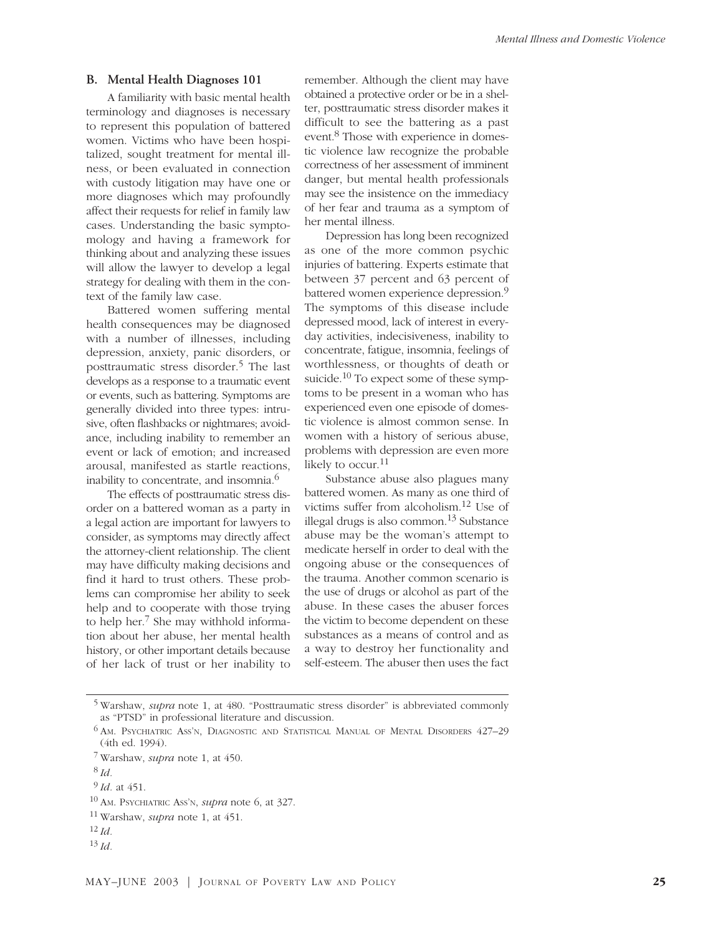#### **B. Mental Health Diagnoses 101**

A familiarity with basic mental health terminology and diagnoses is necessary to represent this population of battered women. Victims who have been hospitalized, sought treatment for mental illness, or been evaluated in connection with custody litigation may have one or more diagnoses which may profoundly affect their requests for relief in family law cases. Understanding the basic symptomology and having a framework for thinking about and analyzing these issues will allow the lawyer to develop a legal strategy for dealing with them in the context of the family law case.

Battered women suffering mental health consequences may be diagnosed with a number of illnesses, including depression, anxiety, panic disorders, or posttraumatic stress disorder.<sup>5</sup> The last develops as a response to a traumatic event or events, such as battering. Symptoms are generally divided into three types: intrusive, often flashbacks or nightmares; avoidance, including inability to remember an event or lack of emotion; and increased arousal, manifested as startle reactions, inability to concentrate, and insomnia.6

The effects of posttraumatic stress disorder on a battered woman as a party in a legal action are important for lawyers to consider, as symptoms may directly affect the attorney-client relationship. The client may have difficulty making decisions and find it hard to trust others. These problems can compromise her ability to seek help and to cooperate with those trying to help her.7 She may withhold information about her abuse, her mental health history, or other important details because of her lack of trust or her inability to remember. Although the client may have obtained a protective order or be in a shelter, posttraumatic stress disorder makes it difficult to see the battering as a past event.8 Those with experience in domestic violence law recognize the probable correctness of her assessment of imminent danger, but mental health professionals may see the insistence on the immediacy of her fear and trauma as a symptom of her mental illness.

Depression has long been recognized as one of the more common psychic injuries of battering. Experts estimate that between 37 percent and 63 percent of battered women experience depression.9 The symptoms of this disease include depressed mood, lack of interest in everyday activities, indecisiveness, inability to concentrate, fatigue, insomnia, feelings of worthlessness, or thoughts of death or suicide.<sup>10</sup> To expect some of these symptoms to be present in a woman who has experienced even one episode of domestic violence is almost common sense. In women with a history of serious abuse, problems with depression are even more likely to occur.<sup>11</sup>

Substance abuse also plagues many battered women. As many as one third of victims suffer from alcoholism.12 Use of illegal drugs is also common.<sup>13</sup> Substance abuse may be the woman's attempt to medicate herself in order to deal with the ongoing abuse or the consequences of the trauma. Another common scenario is the use of drugs or alcohol as part of the abuse. In these cases the abuser forces the victim to become dependent on these substances as a means of control and as a way to destroy her functionality and self-esteem. The abuser then uses the fact

<sup>12</sup> *Id.*

<sup>5</sup> Warshaw, *supra* note 1, at 480. "Posttraumatic stress disorder" is abbreviated commonly as "PTSD" in professional literature and discussion.

<sup>6</sup> AM. PSYCHIATRIC ASS'N, DIAGNOSTIC AND STATISTICAL MANUAL OF MENTAL DISORDERS 427–29 (4th ed. 1994).

<sup>7</sup> Warshaw, *supra* note 1, at 450.

<sup>8</sup> *Id.*

<sup>9</sup> *Id.* at 451.

<sup>10</sup> AM. PSYCHIATRIC ASS'N, *supra* note 6, at 327.

<sup>11</sup> Warshaw, *supra* note 1, at 451.

<sup>13</sup> *Id.*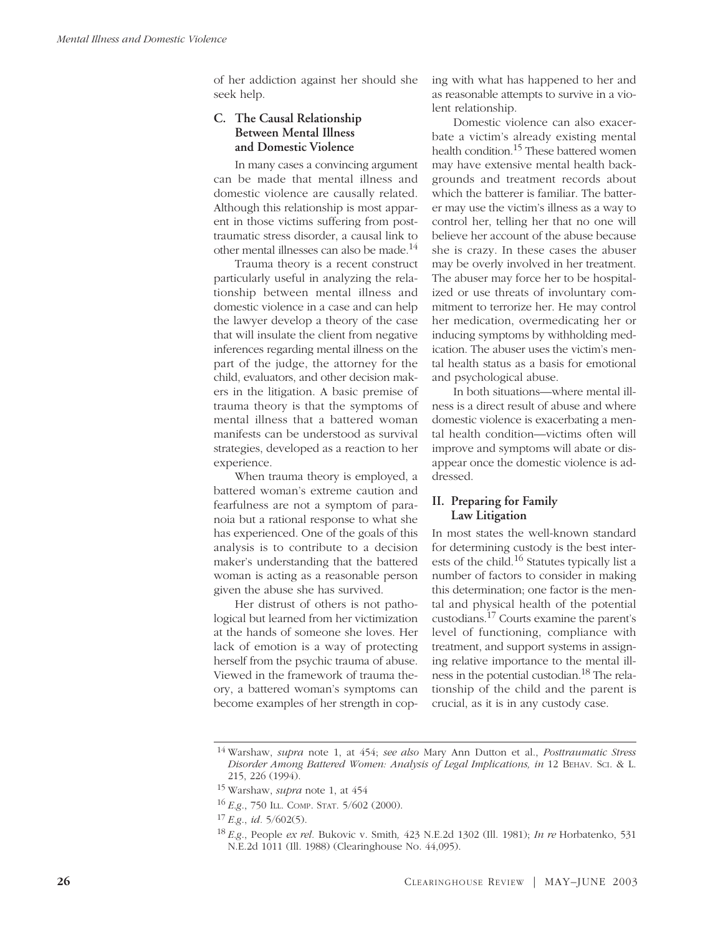of her addiction against her should she seek help.

# **C. The Causal Relationship Between Mental Illness and Domestic Violence**

In many cases a convincing argument can be made that mental illness and domestic violence are causally related. Although this relationship is most apparent in those victims suffering from posttraumatic stress disorder, a causal link to other mental illnesses can also be made.14

Trauma theory is a recent construct particularly useful in analyzing the relationship between mental illness and domestic violence in a case and can help the lawyer develop a theory of the case that will insulate the client from negative inferences regarding mental illness on the part of the judge, the attorney for the child, evaluators, and other decision makers in the litigation. A basic premise of trauma theory is that the symptoms of mental illness that a battered woman manifests can be understood as survival strategies, developed as a reaction to her experience.

When trauma theory is employed, a battered woman's extreme caution and fearfulness are not a symptom of paranoia but a rational response to what she has experienced. One of the goals of this analysis is to contribute to a decision maker's understanding that the battered woman is acting as a reasonable person given the abuse she has survived.

Her distrust of others is not pathological but learned from her victimization at the hands of someone she loves. Her lack of emotion is a way of protecting herself from the psychic trauma of abuse. Viewed in the framework of trauma theory, a battered woman's symptoms can become examples of her strength in coping with what has happened to her and as reasonable attempts to survive in a violent relationship.

Domestic violence can also exacerbate a victim's already existing mental health condition.15 These battered women may have extensive mental health backgrounds and treatment records about which the batterer is familiar. The batterer may use the victim's illness as a way to control her, telling her that no one will believe her account of the abuse because she is crazy. In these cases the abuser may be overly involved in her treatment. The abuser may force her to be hospitalized or use threats of involuntary commitment to terrorize her. He may control her medication, overmedicating her or inducing symptoms by withholding medication. The abuser uses the victim's mental health status as a basis for emotional and psychological abuse.

In both situations—where mental illness is a direct result of abuse and where domestic violence is exacerbating a mental health condition—victims often will improve and symptoms will abate or disappear once the domestic violence is addressed.

# **II. Preparing for Family Law Litigation**

In most states the well-known standard for determining custody is the best interests of the child.16 Statutes typically list a number of factors to consider in making this determination; one factor is the mental and physical health of the potential custodians.17 Courts examine the parent's level of functioning, compliance with treatment, and support systems in assigning relative importance to the mental illness in the potential custodian.18 The relationship of the child and the parent is crucial, as it is in any custody case.

<sup>14</sup> Warshaw, *supra* note 1, at 454; *see also* Mary Ann Dutton et al., *Posttraumatic Stress Disorder Among Battered Women: Analysis of Legal Implications, in* 12 BEHAV. SCI. & L. 215, 226 (1994).

<sup>15</sup> Warshaw, *supra* note 1, at 454

<sup>16</sup> *E.g*., 750 ILL. COMP. STAT. 5/602 (2000).

<sup>17</sup> *E.g*., *id.* 5/602(5).

<sup>18</sup> *E.g*., People *ex rel.* Bukovic v. Smith*,* 423 N.E.2d 1302 (Ill. 1981); *In re* Horbatenko, 531 N.E.2d 1011 (Ill. 1988) (Clearinghouse No. 44,095).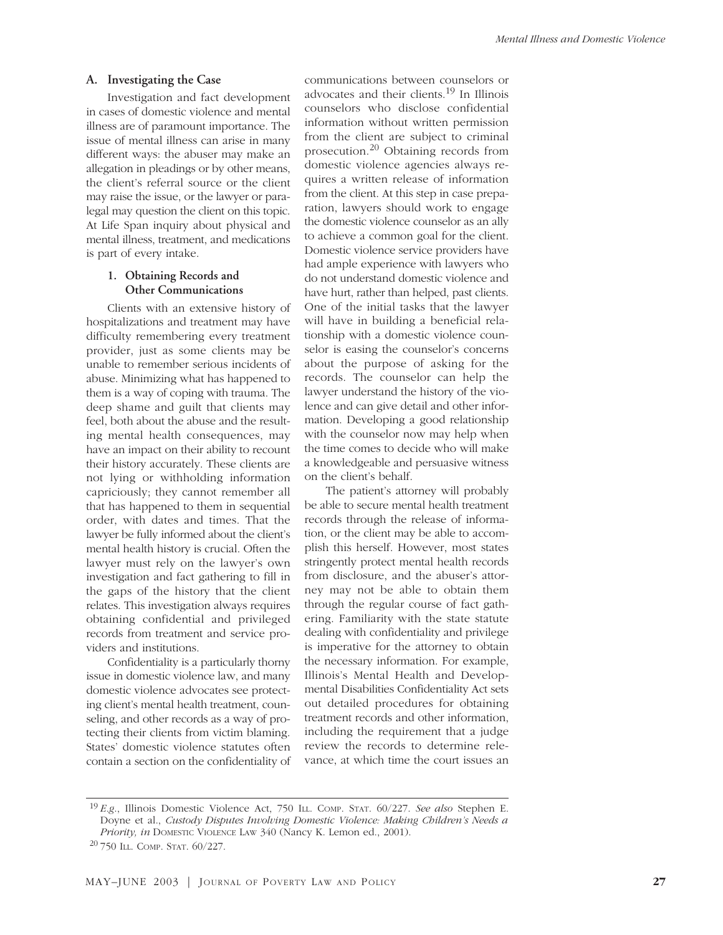#### **A. Investigating the Case**

Investigation and fact development in cases of domestic violence and mental illness are of paramount importance. The issue of mental illness can arise in many different ways: the abuser may make an allegation in pleadings or by other means, the client's referral source or the client may raise the issue, or the lawyer or paralegal may question the client on this topic. At Life Span inquiry about physical and mental illness, treatment, and medications is part of every intake.

## **1. Obtaining Records and Other Communications**

Clients with an extensive history of hospitalizations and treatment may have difficulty remembering every treatment provider, just as some clients may be unable to remember serious incidents of abuse. Minimizing what has happened to them is a way of coping with trauma. The deep shame and guilt that clients may feel, both about the abuse and the resulting mental health consequences, may have an impact on their ability to recount their history accurately. These clients are not lying or withholding information capriciously; they cannot remember all that has happened to them in sequential order, with dates and times. That the lawyer be fully informed about the client's mental health history is crucial. Often the lawyer must rely on the lawyer's own investigation and fact gathering to fill in the gaps of the history that the client relates. This investigation always requires obtaining confidential and privileged records from treatment and service providers and institutions.

Confidentiality is a particularly thorny issue in domestic violence law, and many domestic violence advocates see protecting client's mental health treatment, counseling, and other records as a way of protecting their clients from victim blaming. States' domestic violence statutes often contain a section on the confidentiality of communications between counselors or advocates and their clients.<sup>19</sup> In Illinois counselors who disclose confidential information without written permission from the client are subject to criminal prosecution.<sup>20</sup> Obtaining records from domestic violence agencies always requires a written release of information from the client. At this step in case preparation, lawyers should work to engage the domestic violence counselor as an ally to achieve a common goal for the client. Domestic violence service providers have had ample experience with lawyers who do not understand domestic violence and have hurt, rather than helped, past clients. One of the initial tasks that the lawyer will have in building a beneficial relationship with a domestic violence counselor is easing the counselor's concerns about the purpose of asking for the records. The counselor can help the lawyer understand the history of the violence and can give detail and other information. Developing a good relationship with the counselor now may help when the time comes to decide who will make a knowledgeable and persuasive witness on the client's behalf.

The patient's attorney will probably be able to secure mental health treatment records through the release of information, or the client may be able to accomplish this herself. However, most states stringently protect mental health records from disclosure, and the abuser's attorney may not be able to obtain them through the regular course of fact gathering. Familiarity with the state statute dealing with confidentiality and privilege is imperative for the attorney to obtain the necessary information. For example, Illinois's Mental Health and Developmental Disabilities Confidentiality Act sets out detailed procedures for obtaining treatment records and other information, including the requirement that a judge review the records to determine relevance, at which time the court issues an

<sup>19</sup> *E.g*., Illinois Domestic Violence Act, 750 ILL. COMP. STAT. 60/227. *See also* Stephen E. Doyne et al., *Custody Disputes Involving Domestic Violence: Making Children's Needs a Priority, in* DOMESTIC VIOLENCE LAW 340 (Nancy K. Lemon ed., 2001).

<sup>20</sup> 750 ILL. COMP. STAT. 60/227.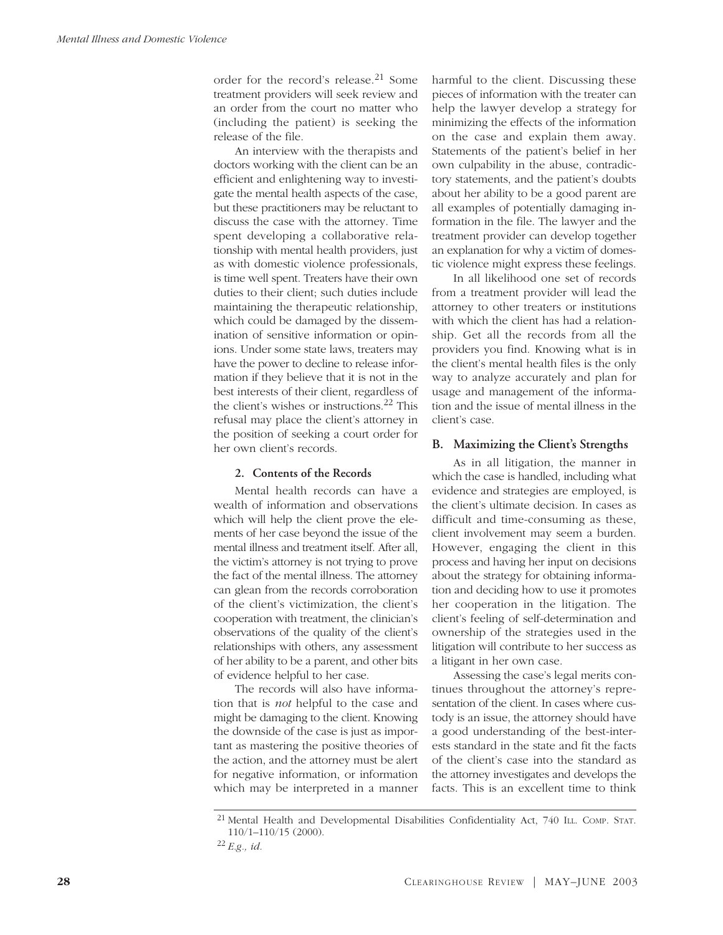order for the record's release.<sup>21</sup> Some treatment providers will seek review and an order from the court no matter who (including the patient) is seeking the release of the file.

An interview with the therapists and doctors working with the client can be an efficient and enlightening way to investigate the mental health aspects of the case, but these practitioners may be reluctant to discuss the case with the attorney. Time spent developing a collaborative relationship with mental health providers, just as with domestic violence professionals, is time well spent. Treaters have their own duties to their client; such duties include maintaining the therapeutic relationship, which could be damaged by the dissemination of sensitive information or opinions. Under some state laws, treaters may have the power to decline to release information if they believe that it is not in the best interests of their client, regardless of the client's wishes or instructions.22 This refusal may place the client's attorney in the position of seeking a court order for her own client's records.

## **2. Contents of the Records**

Mental health records can have a wealth of information and observations which will help the client prove the elements of her case beyond the issue of the mental illness and treatment itself. After all, the victim's attorney is not trying to prove the fact of the mental illness. The attorney can glean from the records corroboration of the client's victimization, the client's cooperation with treatment, the clinician's observations of the quality of the client's relationships with others, any assessment of her ability to be a parent, and other bits of evidence helpful to her case.

The records will also have information that is *not* helpful to the case and might be damaging to the client. Knowing the downside of the case is just as important as mastering the positive theories of the action, and the attorney must be alert for negative information, or information which may be interpreted in a manner harmful to the client. Discussing these pieces of information with the treater can help the lawyer develop a strategy for minimizing the effects of the information on the case and explain them away. Statements of the patient's belief in her own culpability in the abuse, contradictory statements, and the patient's doubts about her ability to be a good parent are all examples of potentially damaging information in the file. The lawyer and the treatment provider can develop together an explanation for why a victim of domestic violence might express these feelings.

In all likelihood one set of records from a treatment provider will lead the attorney to other treaters or institutions with which the client has had a relationship. Get all the records from all the providers you find. Knowing what is in the client's mental health files is the only way to analyze accurately and plan for usage and management of the information and the issue of mental illness in the client's case.

#### **B. Maximizing the Client's Strengths**

As in all litigation, the manner in which the case is handled, including what evidence and strategies are employed, is the client's ultimate decision. In cases as difficult and time-consuming as these, client involvement may seem a burden. However, engaging the client in this process and having her input on decisions about the strategy for obtaining information and deciding how to use it promotes her cooperation in the litigation. The client's feeling of self-determination and ownership of the strategies used in the litigation will contribute to her success as a litigant in her own case.

Assessing the case's legal merits continues throughout the attorney's representation of the client. In cases where custody is an issue, the attorney should have a good understanding of the best-interests standard in the state and fit the facts of the client's case into the standard as the attorney investigates and develops the facts. This is an excellent time to think

<sup>&</sup>lt;sup>21</sup> Mental Health and Developmental Disabilities Confidentiality Act, 740 ILL. COMP. STAT. 110/1–110/15 (2000).

<sup>22</sup> *E.g., id.*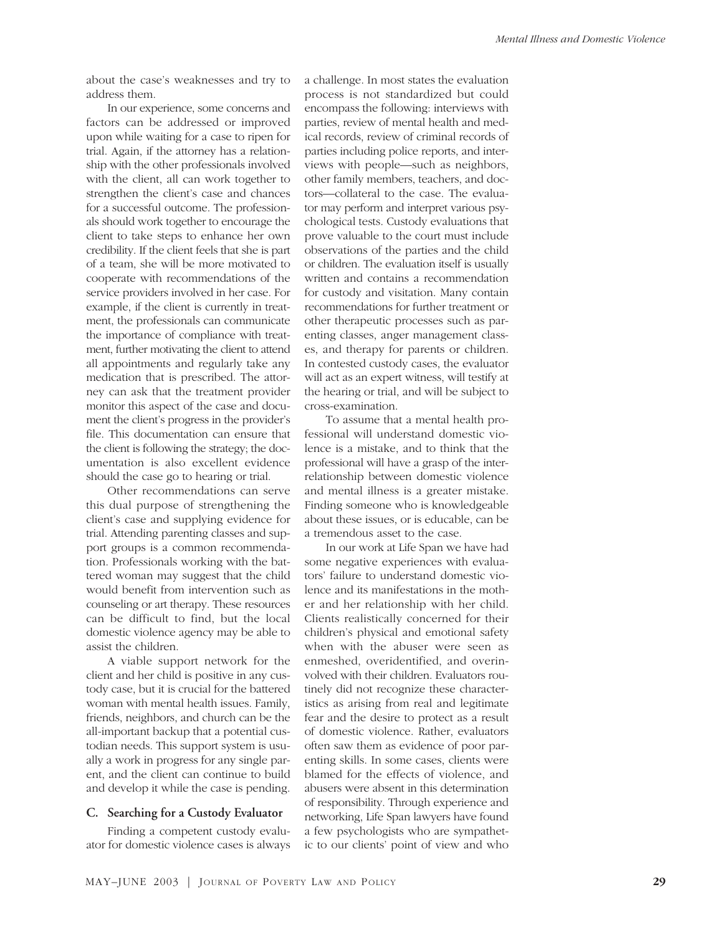about the case's weaknesses and try to address them.

In our experience, some concerns and factors can be addressed or improved upon while waiting for a case to ripen for trial. Again, if the attorney has a relationship with the other professionals involved with the client, all can work together to strengthen the client's case and chances for a successful outcome. The professionals should work together to encourage the client to take steps to enhance her own credibility. If the client feels that she is part of a team, she will be more motivated to cooperate with recommendations of the service providers involved in her case. For example, if the client is currently in treatment, the professionals can communicate the importance of compliance with treatment, further motivating the client to attend all appointments and regularly take any medication that is prescribed. The attorney can ask that the treatment provider monitor this aspect of the case and document the client's progress in the provider's file. This documentation can ensure that the client is following the strategy; the documentation is also excellent evidence should the case go to hearing or trial.

Other recommendations can serve this dual purpose of strengthening the client's case and supplying evidence for trial. Attending parenting classes and support groups is a common recommendation. Professionals working with the battered woman may suggest that the child would benefit from intervention such as counseling or art therapy. These resources can be difficult to find, but the local domestic violence agency may be able to assist the children.

A viable support network for the client and her child is positive in any custody case, but it is crucial for the battered woman with mental health issues. Family, friends, neighbors, and church can be the all-important backup that a potential custodian needs. This support system is usually a work in progress for any single parent, and the client can continue to build and develop it while the case is pending.

#### **C. Searching for a Custody Evaluator**

Finding a competent custody evaluator for domestic violence cases is always a challenge. In most states the evaluation process is not standardized but could encompass the following: interviews with parties, review of mental health and medical records, review of criminal records of parties including police reports, and interviews with people—such as neighbors, other family members, teachers, and doctors—collateral to the case. The evaluator may perform and interpret various psychological tests. Custody evaluations that prove valuable to the court must include observations of the parties and the child or children. The evaluation itself is usually written and contains a recommendation for custody and visitation. Many contain recommendations for further treatment or other therapeutic processes such as parenting classes, anger management classes, and therapy for parents or children. In contested custody cases, the evaluator will act as an expert witness, will testify at the hearing or trial, and will be subject to cross-examination.

To assume that a mental health professional will understand domestic violence is a mistake, and to think that the professional will have a grasp of the interrelationship between domestic violence and mental illness is a greater mistake. Finding someone who is knowledgeable about these issues, or is educable, can be a tremendous asset to the case.

In our work at Life Span we have had some negative experiences with evaluators' failure to understand domestic violence and its manifestations in the mother and her relationship with her child. Clients realistically concerned for their children's physical and emotional safety when with the abuser were seen as enmeshed, overidentified, and overinvolved with their children. Evaluators routinely did not recognize these characteristics as arising from real and legitimate fear and the desire to protect as a result of domestic violence. Rather, evaluators often saw them as evidence of poor parenting skills. In some cases, clients were blamed for the effects of violence, and abusers were absent in this determination of responsibility. Through experience and networking, Life Span lawyers have found a few psychologists who are sympathetic to our clients' point of view and who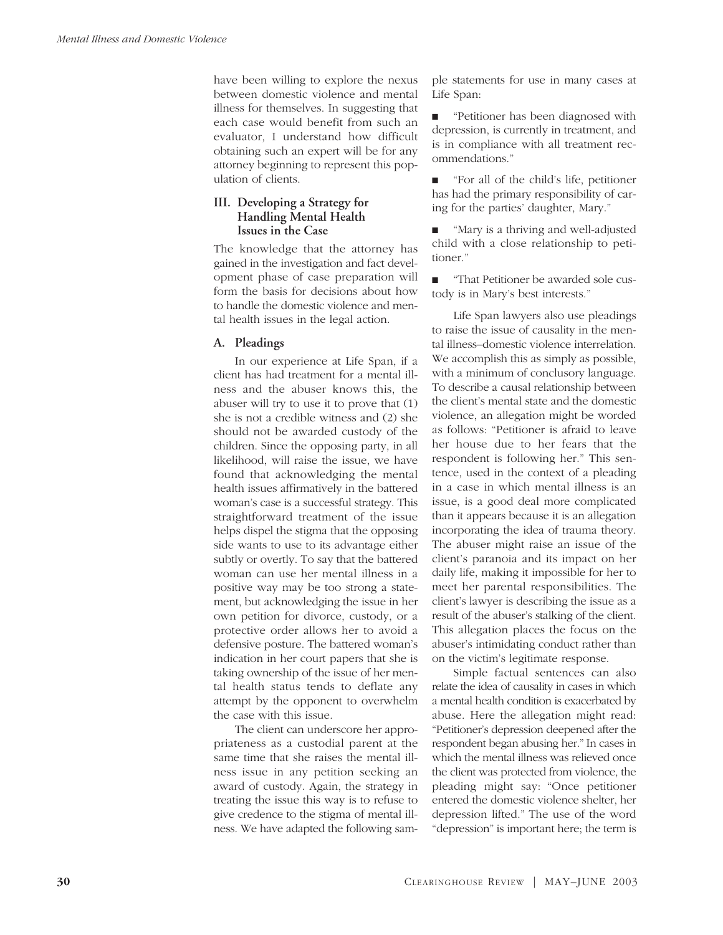have been willing to explore the nexus between domestic violence and mental illness for themselves. In suggesting that each case would benefit from such an evaluator, I understand how difficult obtaining such an expert will be for any attorney beginning to represent this population of clients.

# **III. Developing a Strategy for Handling Mental Health Issues in the Case**

The knowledge that the attorney has gained in the investigation and fact development phase of case preparation will form the basis for decisions about how to handle the domestic violence and mental health issues in the legal action.

## **A. Pleadings**

In our experience at Life Span, if a client has had treatment for a mental illness and the abuser knows this, the abuser will try to use it to prove that (1) she is not a credible witness and (2) she should not be awarded custody of the children. Since the opposing party, in all likelihood, will raise the issue, we have found that acknowledging the mental health issues affirmatively in the battered woman's case is a successful strategy. This straightforward treatment of the issue helps dispel the stigma that the opposing side wants to use to its advantage either subtly or overtly. To say that the battered woman can use her mental illness in a positive way may be too strong a statement, but acknowledging the issue in her own petition for divorce, custody, or a protective order allows her to avoid a defensive posture. The battered woman's indication in her court papers that she is taking ownership of the issue of her mental health status tends to deflate any attempt by the opponent to overwhelm the case with this issue.

The client can underscore her appropriateness as a custodial parent at the same time that she raises the mental illness issue in any petition seeking an award of custody. Again, the strategy in treating the issue this way is to refuse to give credence to the stigma of mental illness. We have adapted the following sample statements for use in many cases at Life Span:

■ "Petitioner has been diagnosed with depression, is currently in treatment, and is in compliance with all treatment recommendations."

■ "For all of the child's life, petitioner has had the primary responsibility of caring for the parties' daughter, Mary."

■ "Mary is a thriving and well-adjusted child with a close relationship to petitioner."

■ "That Petitioner be awarded sole custody is in Mary's best interests."

Life Span lawyers also use pleadings to raise the issue of causality in the mental illness–domestic violence interrelation. We accomplish this as simply as possible, with a minimum of conclusory language. To describe a causal relationship between the client's mental state and the domestic violence, an allegation might be worded as follows: "Petitioner is afraid to leave her house due to her fears that the respondent is following her." This sentence, used in the context of a pleading in a case in which mental illness is an issue, is a good deal more complicated than it appears because it is an allegation incorporating the idea of trauma theory. The abuser might raise an issue of the client's paranoia and its impact on her daily life, making it impossible for her to meet her parental responsibilities. The client's lawyer is describing the issue as a result of the abuser's stalking of the client. This allegation places the focus on the abuser's intimidating conduct rather than on the victim's legitimate response.

Simple factual sentences can also relate the idea of causality in cases in which a mental health condition is exacerbated by abuse. Here the allegation might read: "Petitioner's depression deepened after the respondent began abusing her." In cases in which the mental illness was relieved once the client was protected from violence, the pleading might say: "Once petitioner entered the domestic violence shelter, her depression lifted." The use of the word "depression" is important here; the term is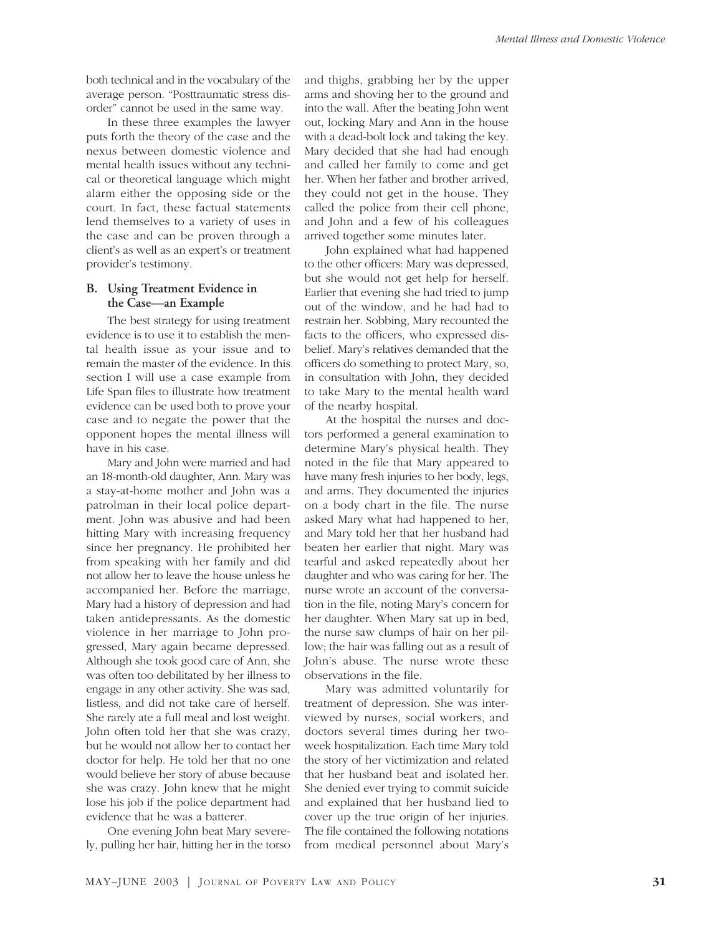both technical and in the vocabulary of the average person. "Posttraumatic stress disorder" cannot be used in the same way.

In these three examples the lawyer puts forth the theory of the case and the nexus between domestic violence and mental health issues without any technical or theoretical language which might alarm either the opposing side or the court. In fact, these factual statements lend themselves to a variety of uses in the case and can be proven through a client's as well as an expert's or treatment provider's testimony.

## **B. Using Treatment Evidence in the Case—an Example**

The best strategy for using treatment evidence is to use it to establish the mental health issue as your issue and to remain the master of the evidence. In this section I will use a case example from Life Span files to illustrate how treatment evidence can be used both to prove your case and to negate the power that the opponent hopes the mental illness will have in his case.

Mary and John were married and had an 18-month-old daughter, Ann. Mary was a stay-at-home mother and John was a patrolman in their local police department. John was abusive and had been hitting Mary with increasing frequency since her pregnancy. He prohibited her from speaking with her family and did not allow her to leave the house unless he accompanied her. Before the marriage, Mary had a history of depression and had taken antidepressants. As the domestic violence in her marriage to John progressed, Mary again became depressed. Although she took good care of Ann, she was often too debilitated by her illness to engage in any other activity. She was sad, listless, and did not take care of herself. She rarely ate a full meal and lost weight. John often told her that she was crazy, but he would not allow her to contact her doctor for help. He told her that no one would believe her story of abuse because she was crazy. John knew that he might lose his job if the police department had evidence that he was a batterer.

One evening John beat Mary severely, pulling her hair, hitting her in the torso and thighs, grabbing her by the upper arms and shoving her to the ground and into the wall. After the beating John went out, locking Mary and Ann in the house with a dead-bolt lock and taking the key. Mary decided that she had had enough and called her family to come and get her. When her father and brother arrived, they could not get in the house. They called the police from their cell phone, and John and a few of his colleagues arrived together some minutes later.

John explained what had happened to the other officers: Mary was depressed, but she would not get help for herself. Earlier that evening she had tried to jump out of the window, and he had had to restrain her. Sobbing, Mary recounted the facts to the officers, who expressed disbelief. Mary's relatives demanded that the officers do something to protect Mary, so, in consultation with John, they decided to take Mary to the mental health ward of the nearby hospital.

At the hospital the nurses and doctors performed a general examination to determine Mary's physical health. They noted in the file that Mary appeared to have many fresh injuries to her body, legs, and arms. They documented the injuries on a body chart in the file. The nurse asked Mary what had happened to her, and Mary told her that her husband had beaten her earlier that night. Mary was tearful and asked repeatedly about her daughter and who was caring for her. The nurse wrote an account of the conversation in the file, noting Mary's concern for her daughter. When Mary sat up in bed, the nurse saw clumps of hair on her pillow; the hair was falling out as a result of John's abuse. The nurse wrote these observations in the file.

Mary was admitted voluntarily for treatment of depression. She was interviewed by nurses, social workers, and doctors several times during her twoweek hospitalization. Each time Mary told the story of her victimization and related that her husband beat and isolated her. She denied ever trying to commit suicide and explained that her husband lied to cover up the true origin of her injuries. The file contained the following notations from medical personnel about Mary's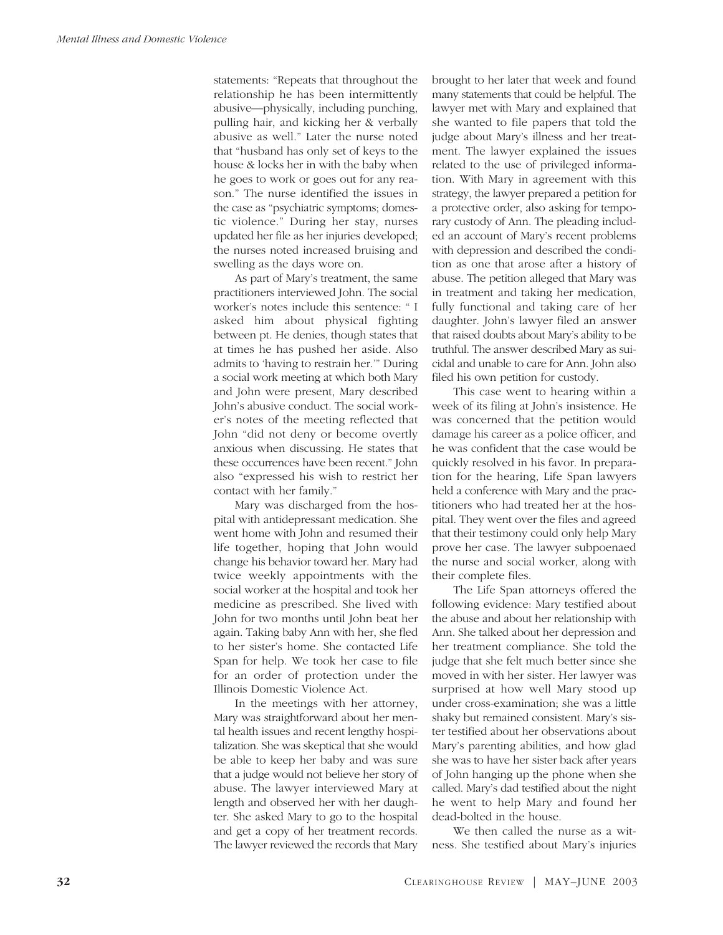statements: "Repeats that throughout the relationship he has been intermittently abusive—physically, including punching, pulling hair, and kicking her & verbally abusive as well." Later the nurse noted that "husband has only set of keys to the house & locks her in with the baby when he goes to work or goes out for any reason." The nurse identified the issues in the case as "psychiatric symptoms; domestic violence." During her stay, nurses updated her file as her injuries developed; the nurses noted increased bruising and swelling as the days wore on.

As part of Mary's treatment, the same practitioners interviewed John. The social worker's notes include this sentence: " I asked him about physical fighting between pt. He denies, though states that at times he has pushed her aside. Also admits to 'having to restrain her.'" During a social work meeting at which both Mary and John were present, Mary described John's abusive conduct. The social worker's notes of the meeting reflected that John "did not deny or become overtly anxious when discussing. He states that these occurrences have been recent." John also "expressed his wish to restrict her contact with her family."

Mary was discharged from the hospital with antidepressant medication. She went home with John and resumed their life together, hoping that John would change his behavior toward her. Mary had twice weekly appointments with the social worker at the hospital and took her medicine as prescribed. She lived with John for two months until John beat her again. Taking baby Ann with her, she fled to her sister's home. She contacted Life Span for help. We took her case to file for an order of protection under the Illinois Domestic Violence Act.

In the meetings with her attorney, Mary was straightforward about her mental health issues and recent lengthy hospitalization. She was skeptical that she would be able to keep her baby and was sure that a judge would not believe her story of abuse. The lawyer interviewed Mary at length and observed her with her daughter. She asked Mary to go to the hospital and get a copy of her treatment records. The lawyer reviewed the records that Mary brought to her later that week and found many statements that could be helpful. The lawyer met with Mary and explained that she wanted to file papers that told the judge about Mary's illness and her treatment. The lawyer explained the issues related to the use of privileged information. With Mary in agreement with this strategy, the lawyer prepared a petition for a protective order, also asking for temporary custody of Ann. The pleading included an account of Mary's recent problems with depression and described the condition as one that arose after a history of abuse. The petition alleged that Mary was in treatment and taking her medication, fully functional and taking care of her daughter. John's lawyer filed an answer that raised doubts about Mary's ability to be truthful. The answer described Mary as suicidal and unable to care for Ann. John also filed his own petition for custody.

This case went to hearing within a week of its filing at John's insistence. He was concerned that the petition would damage his career as a police officer, and he was confident that the case would be quickly resolved in his favor. In preparation for the hearing, Life Span lawyers held a conference with Mary and the practitioners who had treated her at the hospital. They went over the files and agreed that their testimony could only help Mary prove her case. The lawyer subpoenaed the nurse and social worker, along with their complete files.

The Life Span attorneys offered the following evidence: Mary testified about the abuse and about her relationship with Ann. She talked about her depression and her treatment compliance. She told the judge that she felt much better since she moved in with her sister. Her lawyer was surprised at how well Mary stood up under cross-examination; she was a little shaky but remained consistent. Mary's sister testified about her observations about Mary's parenting abilities, and how glad she was to have her sister back after years of John hanging up the phone when she called. Mary's dad testified about the night he went to help Mary and found her dead-bolted in the house.

We then called the nurse as a witness. She testified about Mary's injuries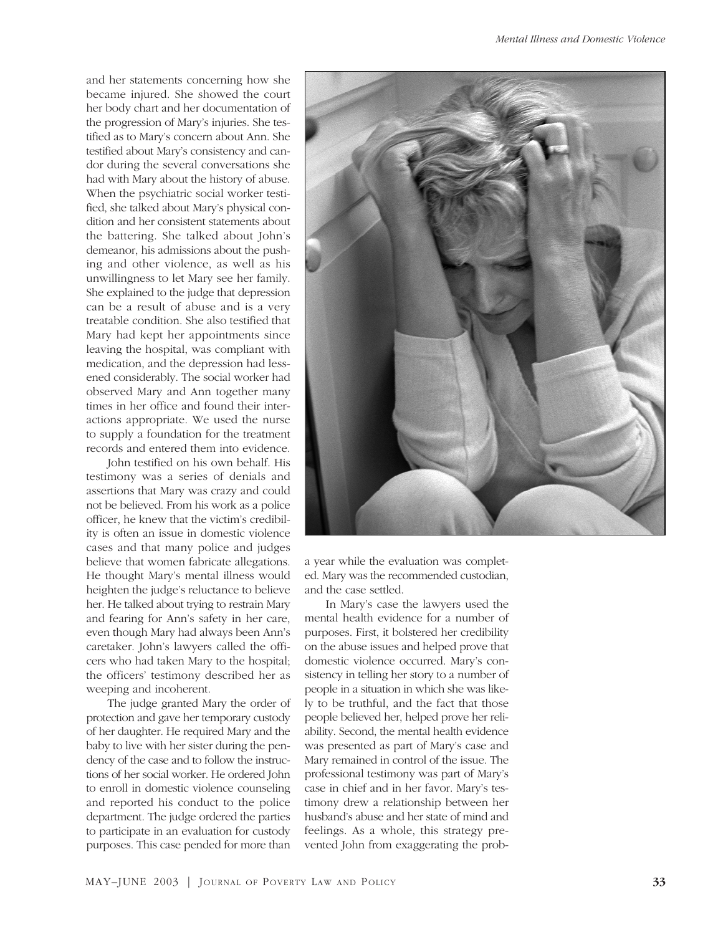and her statements concerning how she became injured. She showed the court her body chart and her documentation of the progression of Mary's injuries. She testified as to Mary's concern about Ann. She testified about Mary's consistency and candor during the several conversations she had with Mary about the history of abuse. When the psychiatric social worker testified, she talked about Mary's physical condition and her consistent statements about the battering. She talked about John's demeanor, his admissions about the pushing and other violence, as well as his unwillingness to let Mary see her family. She explained to the judge that depression can be a result of abuse and is a very treatable condition. She also testified that Mary had kept her appointments since leaving the hospital, was compliant with medication, and the depression had lessened considerably. The social worker had observed Mary and Ann together many times in her office and found their interactions appropriate. We used the nurse to supply a foundation for the treatment records and entered them into evidence.

John testified on his own behalf. His testimony was a series of denials and assertions that Mary was crazy and could not be believed. From his work as a police officer, he knew that the victim's credibility is often an issue in domestic violence cases and that many police and judges believe that women fabricate allegations. He thought Mary's mental illness would heighten the judge's reluctance to believe her. He talked about trying to restrain Mary and fearing for Ann's safety in her care, even though Mary had always been Ann's caretaker. John's lawyers called the officers who had taken Mary to the hospital; the officers' testimony described her as weeping and incoherent.

The judge granted Mary the order of protection and gave her temporary custody of her daughter. He required Mary and the baby to live with her sister during the pendency of the case and to follow the instructions of her social worker. He ordered John to enroll in domestic violence counseling and reported his conduct to the police department. The judge ordered the parties to participate in an evaluation for custody purposes. This case pended for more than



a year while the evaluation was completed. Mary was the recommended custodian, and the case settled.

In Mary's case the lawyers used the mental health evidence for a number of purposes. First, it bolstered her credibility on the abuse issues and helped prove that domestic violence occurred. Mary's consistency in telling her story to a number of people in a situation in which she was likely to be truthful, and the fact that those people believed her, helped prove her reliability. Second, the mental health evidence was presented as part of Mary's case and Mary remained in control of the issue. The professional testimony was part of Mary's case in chief and in her favor. Mary's testimony drew a relationship between her husband's abuse and her state of mind and feelings. As a whole, this strategy prevented John from exaggerating the prob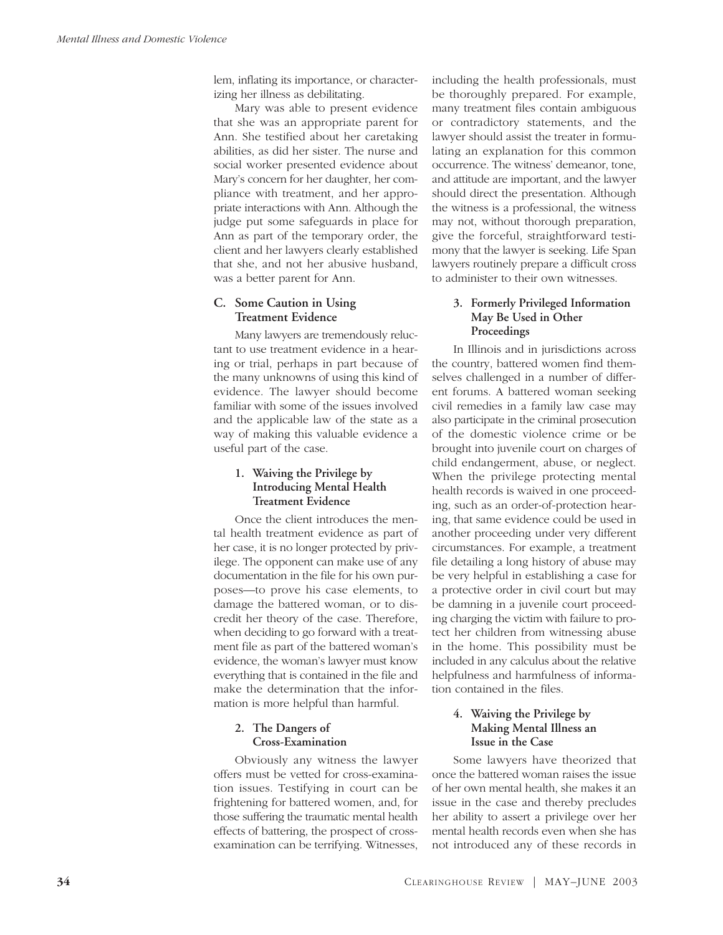lem, inflating its importance, or characterizing her illness as debilitating.

Mary was able to present evidence that she was an appropriate parent for Ann. She testified about her caretaking abilities, as did her sister. The nurse and social worker presented evidence about Mary's concern for her daughter, her compliance with treatment, and her appropriate interactions with Ann. Although the judge put some safeguards in place for Ann as part of the temporary order, the client and her lawyers clearly established that she, and not her abusive husband, was a better parent for Ann.

# **C. Some Caution in Using Treatment Evidence**

Many lawyers are tremendously reluctant to use treatment evidence in a hearing or trial, perhaps in part because of the many unknowns of using this kind of evidence. The lawyer should become familiar with some of the issues involved and the applicable law of the state as a way of making this valuable evidence a useful part of the case.

# **1. Waiving the Privilege by Introducing Mental Health Treatment Evidence**

Once the client introduces the mental health treatment evidence as part of her case, it is no longer protected by privilege. The opponent can make use of any documentation in the file for his own purposes—to prove his case elements, to damage the battered woman, or to discredit her theory of the case. Therefore, when deciding to go forward with a treatment file as part of the battered woman's evidence, the woman's lawyer must know everything that is contained in the file and make the determination that the information is more helpful than harmful.

# **2. The Dangers of Cross-Examination**

Obviously any witness the lawyer offers must be vetted for cross-examination issues. Testifying in court can be frightening for battered women, and, for those suffering the traumatic mental health effects of battering, the prospect of crossexamination can be terrifying. Witnesses, including the health professionals, must be thoroughly prepared. For example, many treatment files contain ambiguous or contradictory statements, and the lawyer should assist the treater in formulating an explanation for this common occurrence. The witness' demeanor, tone, and attitude are important, and the lawyer should direct the presentation. Although the witness is a professional, the witness may not, without thorough preparation, give the forceful, straightforward testimony that the lawyer is seeking. Life Span lawyers routinely prepare a difficult cross to administer to their own witnesses.

#### **3. Formerly Privileged Information May Be Used in Other Proceedings**

In Illinois and in jurisdictions across the country, battered women find themselves challenged in a number of different forums. A battered woman seeking civil remedies in a family law case may also participate in the criminal prosecution of the domestic violence crime or be brought into juvenile court on charges of child endangerment, abuse, or neglect. When the privilege protecting mental health records is waived in one proceeding, such as an order-of-protection hearing, that same evidence could be used in another proceeding under very different circumstances. For example, a treatment file detailing a long history of abuse may be very helpful in establishing a case for a protective order in civil court but may be damning in a juvenile court proceeding charging the victim with failure to protect her children from witnessing abuse in the home. This possibility must be included in any calculus about the relative helpfulness and harmfulness of information contained in the files.

## **4. Waiving the Privilege by Making Mental Illness an Issue in the Case**

Some lawyers have theorized that once the battered woman raises the issue of her own mental health, she makes it an issue in the case and thereby precludes her ability to assert a privilege over her mental health records even when she has not introduced any of these records in